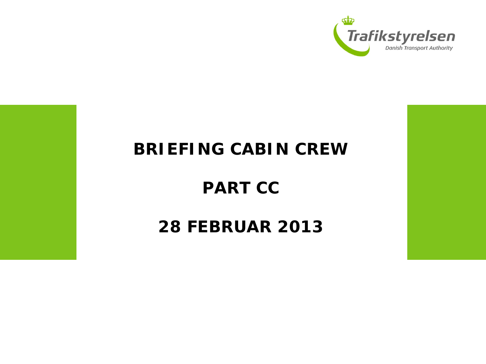

#### **BRIEFING CABIN CREW**

## **PART CC**

#### **28 FEBRUAR 2013**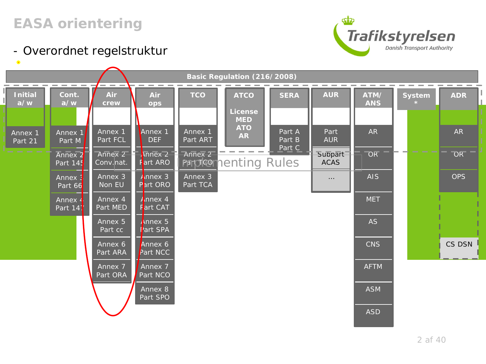#### *EASA orientering*





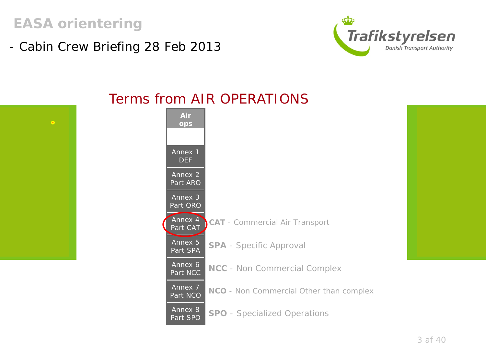*EASA orientering* 

- Cabin Crew Briefing 28 Feb 2013





#### Terms from AIR OPERATIONS

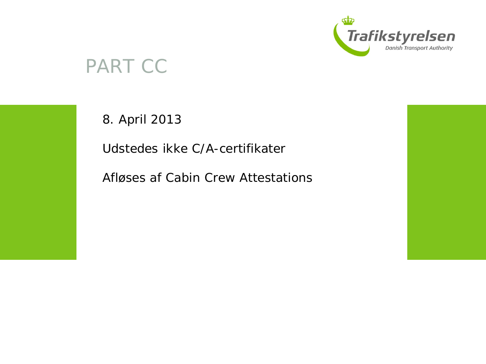

## PART CC

8. April 2013

Udstedes ikke C/A-certifikater

Afløses af Cabin Crew Attestations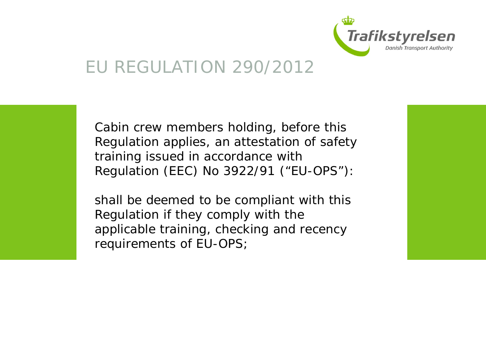

#### EU REGULATION 290/2012

Cabin crew members holding, before this Regulation applies, an attestation of safety training issued in accordance with Regulation (EEC) No 3922/91 ("EU-OPS"):

shall be deemed to be compliant with this Regulation if they comply with the applicable training, checking and recency requirements of EU-OPS;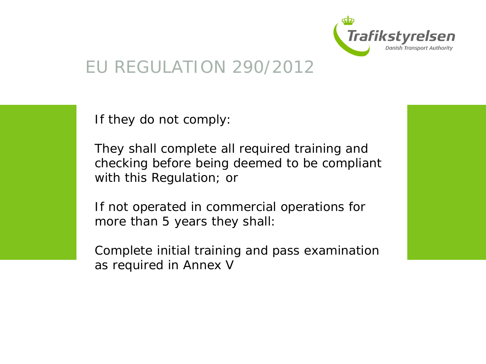

### EU REGULATION 290/2012



If they do not comply:

They shall complete all required training and checking before being deemed to be compliant with this Regulation; or

If not operated in commercial operations for more than 5 years they shall:

Complete initial training and pass examination as required in Annex V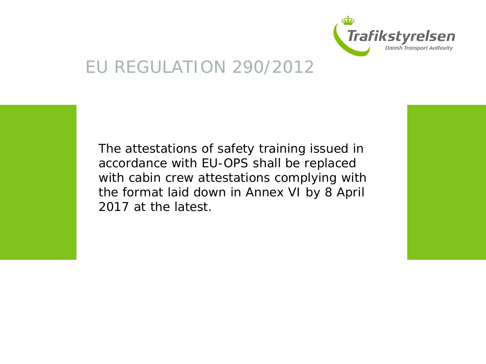

## EU REGULATION 290/2012

The attestations of safety training issued in accordance with EU-OPS shall be replaced with cabin crew attestations complying with the format laid down in Annex VI by 8 April 2017 at the latest.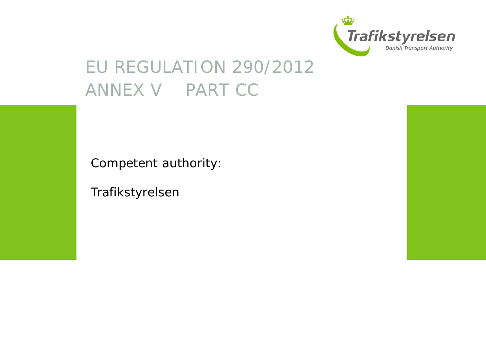

## EU REGULATION 290/2012 ANNEX V PART CC

Competent authority:

Trafikstyrelsen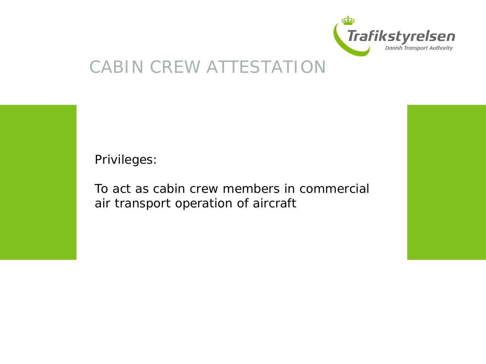

Privileges:

To act as cabin crew members in commercial air transport operation of aircraft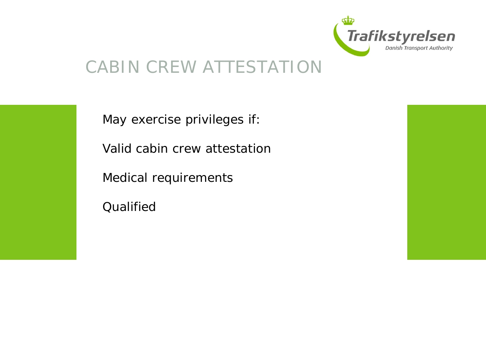



May exercise privileges if:

Valid cabin crew attestation

Medical requirements

Qualified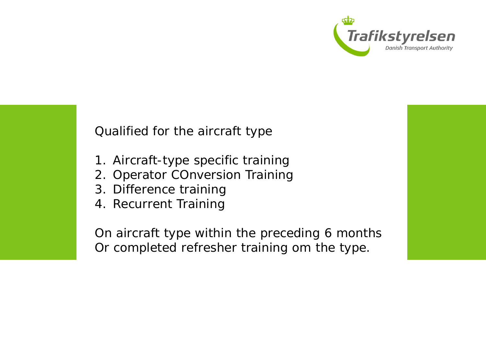

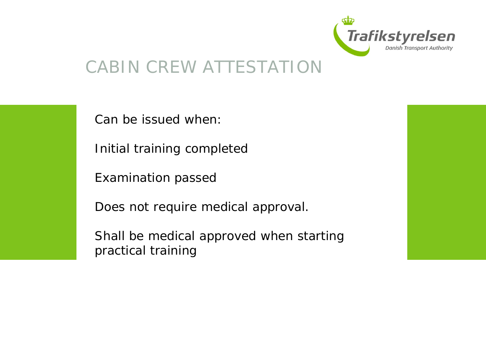



Can be issued when:

Initial training completed

Examination passed

Does not require medical approval.

Shall be medical approved when starting practical training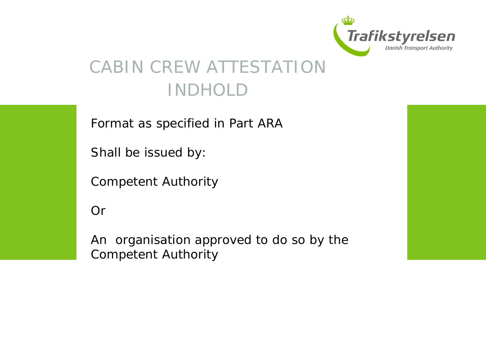

## CABIN CREW ATTESTATION INDHOLD

Format as specified in Part ARA

Shall be issued by:

Competent Authority

Or

An organisation approved to do so by the Competent Authority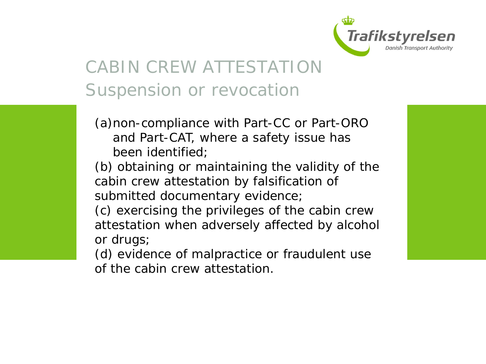

# CABIN CREW ATTESTATION Suspension or revocation

- (a)non-compliance with Part-CC or Part-ORO and Part-CAT, where a safety issue has been identified;
- (b) obtaining or maintaining the validity of the cabin crew attestation by falsification of submitted documentary evidence;
- (c) exercising the privileges of the cabin crew attestation when adversely affected by alcohol or drugs;
- (d) evidence of malpractice or fraudulent use of the cabin crew attestation.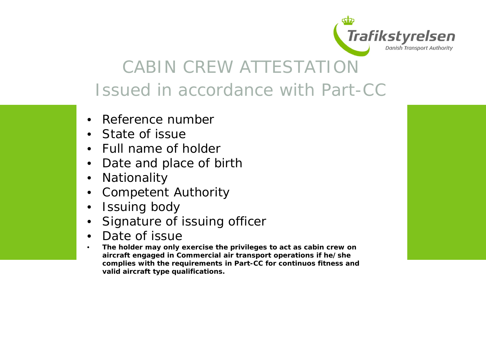

## CABIN CREW ATTESTATION Issued in accordance with Part-CC

- Reference number
- State of issue
- Full name of holder
- Date and place of birth
- Nationality
- Competent Authority
- Issuing body
- Signature of issuing officer
- Date of issue
- **The holder may only exercise the privileges to act as cabin crew on aircraft engaged in Commercial air transport operations if he/she complies with the requirements in Part-CC for continuos fitness and valid aircraft type qualifications.**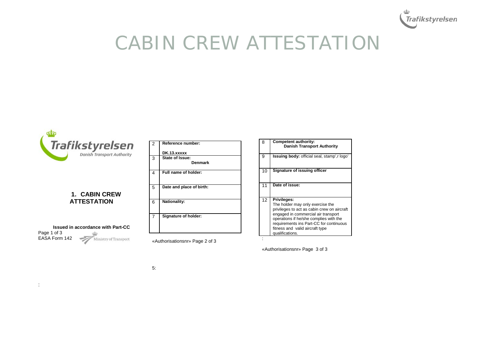



#### **1. CABIN CREW ATTESTATION**

|               | <b>Issued in accordance with Part-CC</b> |
|---------------|------------------------------------------|
| Page 1 of 3   |                                          |
| EASA Form 142 | Ministry of Transport                    |

:

| $\overline{2}$ | Reference number:          |
|----------------|----------------------------|
|                | DK.13.xxxxx                |
| 3              | State of Issue:<br>Denmark |
|                |                            |
| 4              | Full name of holder:       |
|                |                            |
| 5              | Date and place of birth:   |
| 6              | <b>Nationality:</b>        |
| $\overline{7}$ | Signature of holder:       |

«Authorisationsnr» Page 2 of 3

| 8  | Competent authority:<br><b>Danish Transport Authority</b>                                                                                                                                                                                                                        |
|----|----------------------------------------------------------------------------------------------------------------------------------------------------------------------------------------------------------------------------------------------------------------------------------|
| 9  | Issuing body: official seal, stamp', r logo'                                                                                                                                                                                                                                     |
| 10 | Signature of issuing officer                                                                                                                                                                                                                                                     |
| 11 | Date of issue:                                                                                                                                                                                                                                                                   |
| 12 | Privileges:<br>The holder may only exercise the<br>privileges to act as cabin crew on aircraft<br>engaged in commercial air transport<br>operations if he/she complies with the<br>requirements ins Part-CC for continuous<br>fitness and valid aircraft type<br>qualifications. |
|    |                                                                                                                                                                                                                                                                                  |

«Authorisationsnr» Page 3 of 3

5: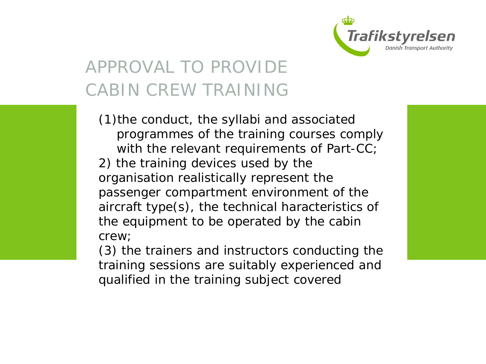

# APPROVAL TO PROVIDE CABIN CREW TRAINING

(1)the conduct, the syllabi and associated programmes of the training courses comply with the relevant requirements of Part-CC; 2) the training devices used by the organisation realistically represent the passenger compartment environment of the aircraft type(s), the technical haracteristics of the equipment to be operated by the cabin crew;

(3) the trainers and instructors conducting the training sessions are suitably experienced and qualified in the training subject covered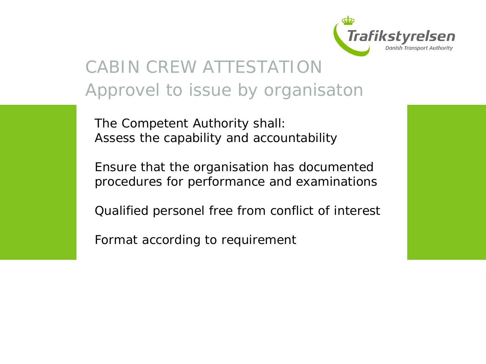

## CABIN CREW ATTESTATION Approvel to issue by organisaton

The Competent Authority shall: Assess the capability and accountability

Ensure that the organisation has documented procedures for performance and examinations

Qualified personel free from conflict of interest

Format according to requirement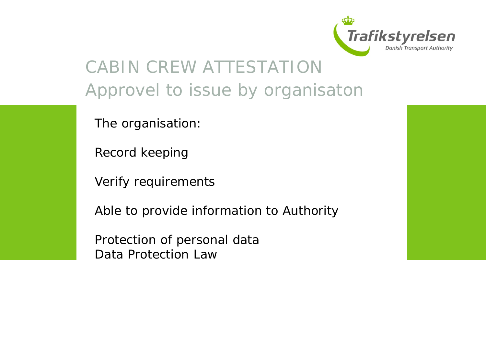

## CABIN CREW ATTESTATION Approvel to issue by organisaton

The organisation:

Record keeping

Verify requirements

Able to provide information to Authority

Protection of personal data Data Protection Law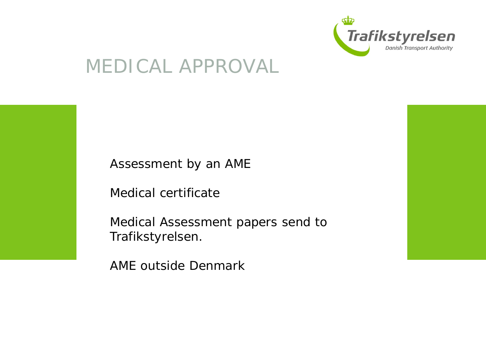

# MEDICAL APPROVAL

Assessment by an AME

Medical certificate

Medical Assessment papers send to Trafikstyrelsen.

AME outside Denmark